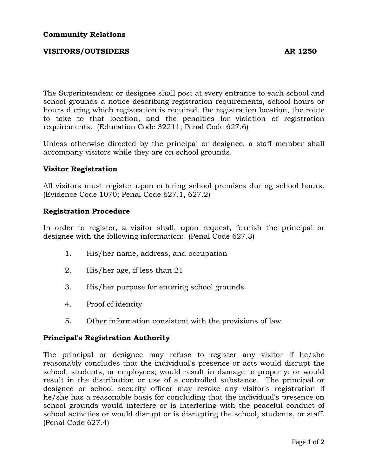# **VISITORS/OUTSIDERS** AR 1250

The Superintendent or designee shall post at every entrance to each school and school grounds a notice describing registration requirements, school hours or hours during which registration is required, the registration location, the route to take to that location, and the penalties for violation of registration requirements. (Education Code 32211; Penal Code 627.6)

Unless otherwise directed by the principal or designee, a staff member shall accompany visitors while they are on school grounds.

## **Visitor Registration**

All visitors must register upon entering school premises during school hours. (Evidence Code 1070; Penal Code 627.1, 627.2)

## **Registration Procedure**

In order to register, a visitor shall, upon request, furnish the principal or designee with the following information: (Penal Code 627.3)

- 1. His/her name, address, and occupation
- 2. His/her age, if less than 21
- 3. His/her purpose for entering school grounds
- 4. Proof of identity
- 5. Other information consistent with the provisions of law

### **Principal's Registration Authority**

The principal or designee may refuse to register any visitor if he/she reasonably concludes that the individual's presence or acts would disrupt the school, students, or employees; would result in damage to property; or would result in the distribution or use of a controlled substance. The principal or designee or school security officer may revoke any visitor's registration if he/she has a reasonable basis for concluding that the individual's presence on school grounds would interfere or is interfering with the peaceful conduct of school activities or would disrupt or is disrupting the school, students, or staff. (Penal Code 627.4)